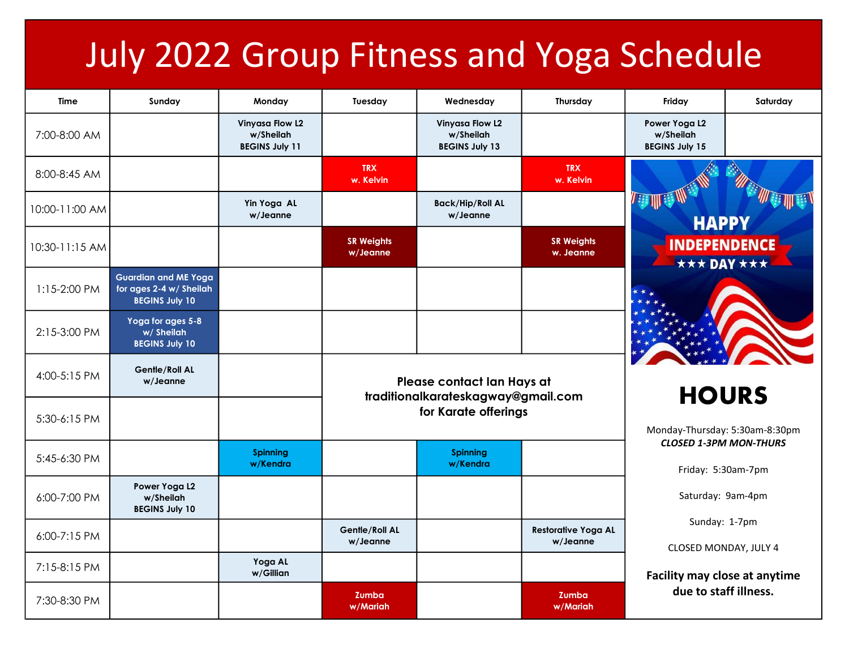## July 2022 Group Fitness and Yoga Schedule

| <b>Time</b>    | Sunday                                                                          | Monday                                                       | Tuesday                                                                                  | Wednesday                                                    | Thursday                               | Friday                                                                        | Saturday |
|----------------|---------------------------------------------------------------------------------|--------------------------------------------------------------|------------------------------------------------------------------------------------------|--------------------------------------------------------------|----------------------------------------|-------------------------------------------------------------------------------|----------|
| 7:00-8:00 AM   |                                                                                 | <b>Vinyasa Flow L2</b><br>w/Sheilah<br><b>BEGINS July 11</b> |                                                                                          | <b>Vinyasa Flow L2</b><br>w/Sheilah<br><b>BEGINS July 13</b> |                                        | Power Yoga L2<br>w/Sheilah<br><b>BEGINS July 15</b>                           |          |
| 8:00-8:45 AM   |                                                                                 |                                                              | <b>TRX</b><br>w. Kelvin                                                                  |                                                              | <b>TRX</b><br>w. Kelvin                |                                                                               |          |
| 10:00-11:00 AM |                                                                                 | Yin Yoga AL<br>w/Jeanne                                      |                                                                                          | <b>Back/Hip/Roll AL</b><br>w/Jeanne                          |                                        | <b>THE STATE</b><br><b>HAPPY</b><br><b>INDEPENDENCE</b><br><b>★★★ DAY ★★★</b> |          |
| 10:30-11:15 AM |                                                                                 |                                                              | <b>SR Weights</b><br>w/Jeanne                                                            |                                                              | <b>SR Weights</b><br>w. Jeanne         |                                                                               |          |
| 1:15-2:00 PM   | <b>Guardian and ME Yoga</b><br>for ages 2-4 w/ Sheilah<br><b>BEGINS July 10</b> |                                                              |                                                                                          |                                                              |                                        |                                                                               |          |
| 2:15-3:00 PM   | Yoga for ages 5-8<br>w/ Sheilah<br><b>BEGINS July 10</b>                        |                                                              |                                                                                          |                                                              |                                        |                                                                               |          |
| 4:00-5:15 PM   | <b>Gentle/Roll AL</b><br>w/Jeanne                                               |                                                              | Please contact Ian Hays at<br>traditionalkarateskagway@gmail.com<br>for Karate offerings |                                                              |                                        |                                                                               |          |
| 5:30-6:15 PM   |                                                                                 |                                                              |                                                                                          |                                                              |                                        | <b>HOURS</b><br>Monday-Thursday: 5:30am-8:30pm                                |          |
| 5:45-6:30 PM   |                                                                                 | <b>Spinning</b><br>w/Kendra                                  |                                                                                          | <b>Spinning</b><br>w/Kendra                                  |                                        | <b>CLOSED 1-3PM MON-THURS</b><br>Friday: 5:30am-7pm                           |          |
| 6:00-7:00 PM   | Power Yoga L2<br>w/Sheilah<br><b>BEGINS July 10</b>                             |                                                              |                                                                                          |                                                              |                                        | Saturday: 9am-4pm                                                             |          |
| 6:00-7:15 PM   |                                                                                 |                                                              | Gentle/Roll AL<br>w/Jeanne                                                               |                                                              | <b>Restorative Yoga AL</b><br>w/Jeanne | Sunday: 1-7pm<br>CLOSED MONDAY, JULY 4                                        |          |
| 7:15-8:15 PM   |                                                                                 | Yoga AL<br>w/Gillian                                         |                                                                                          |                                                              |                                        | Facility may close at anytime                                                 |          |
| 7:30-8:30 PM   |                                                                                 |                                                              | Zumba<br>w/Mariah                                                                        |                                                              | Zumba<br>w/Mariah                      | due to staff illness.                                                         |          |